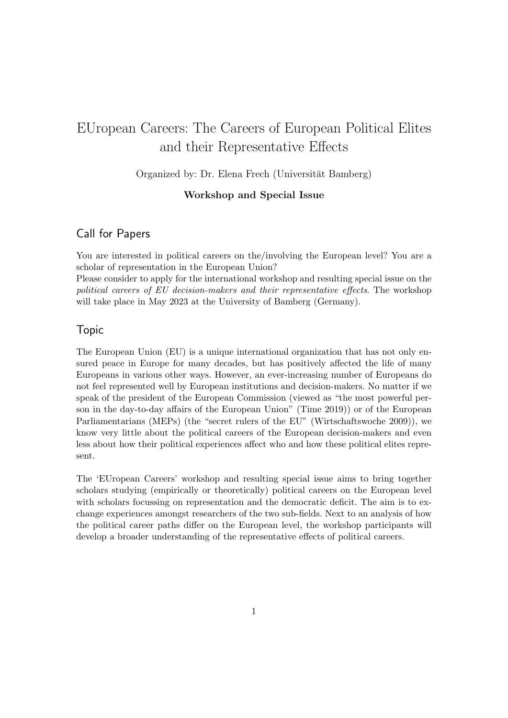# EUropean Careers: The Careers of European Political Elites and their Representative Effects

Organized by: Dr. Elena Frech (Universität Bamberg)

## Workshop and Special Issue

# Call for Papers

You are interested in political careers on the/involving the European level? You are a scholar of representation in the European Union?

Please consider to apply for the international workshop and resulting special issue on the political careers of EU decision-makers and their representative effects. The workshop will take place in May 2023 at the University of Bamberg (Germany).

### Topic

The European Union (EU) is a unique international organization that has not only ensured peace in Europe for many decades, but has positively affected the life of many Europeans in various other ways. However, an ever-increasing number of Europeans do not feel represented well by European institutions and decision-makers. No matter if we speak of the president of the European Commission (viewed as "the most powerful person in the day-to-day affairs of the European Union" (Time 2019)) or of the European Parliamentarians (MEPs) (the "secret rulers of the EU" (Wirtschaftswoche 2009)), we know very little about the political careers of the European decision-makers and even less about how their political experiences affect who and how these political elites represent.

The 'EUropean Careers' workshop and resulting special issue aims to bring together scholars studying (empirically or theoretically) political careers on the European level with scholars focussing on representation and the democratic deficit. The aim is to exchange experiences amongst researchers of the two sub-fields. Next to an analysis of how the political career paths differ on the European level, the workshop participants will develop a broader understanding of the representative effects of political careers.